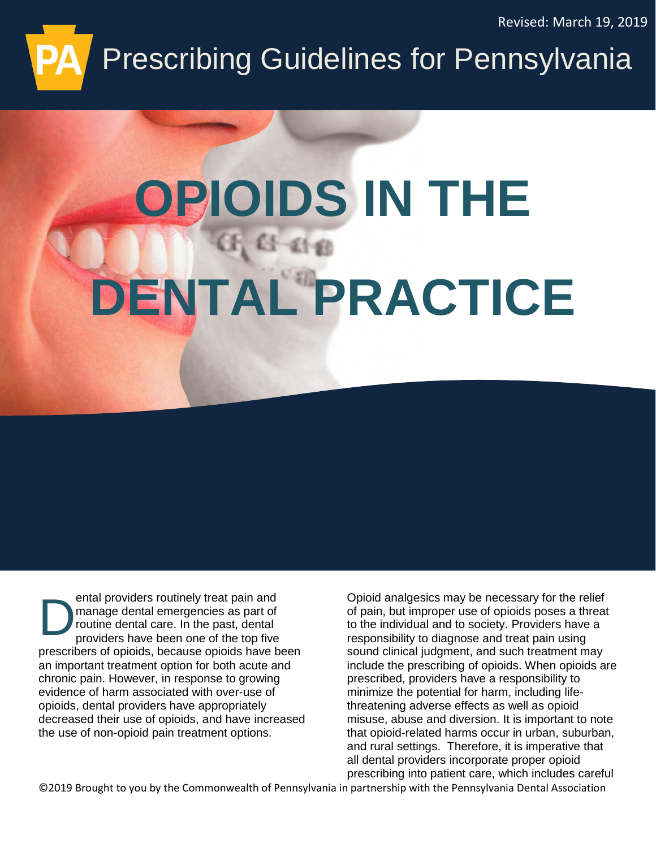Revised: March 19, 2019

# Prescribing Guidelines for Pennsylvania

# **OPIOIDS IN THE DENTAL PRACTICE**

ental providers routinely treat pain and manage dental emergencies as part of routine dental care. In the past, dental providers have been one of the top five prescribers of opioids, because opioids have been an important treatment option for both acute and chronic pain. However, in response to growing evidence of harm associated with over-use of opioids, dental providers have appropriately decreased their use of opioids, and have increased the use of non-opioid pain treatment options. D

Opioid analgesics may be necessary for the relief of pain, but improper use of opioids poses a threat to the individual and to society. Providers have a responsibility to diagnose and treat pain using sound clinical judgment, and such treatment may include the prescribing of opioids. When opioids are prescribed, providers have a responsibility to minimize the potential for harm, including lifethreatening adverse effects as well as opioid misuse, abuse and diversion. It is important to note that opioid-related harms occur in urban, suburban, and rural settings. Therefore, it is imperative that all dental providers incorporate proper opioid prescribing into patient care, which includes careful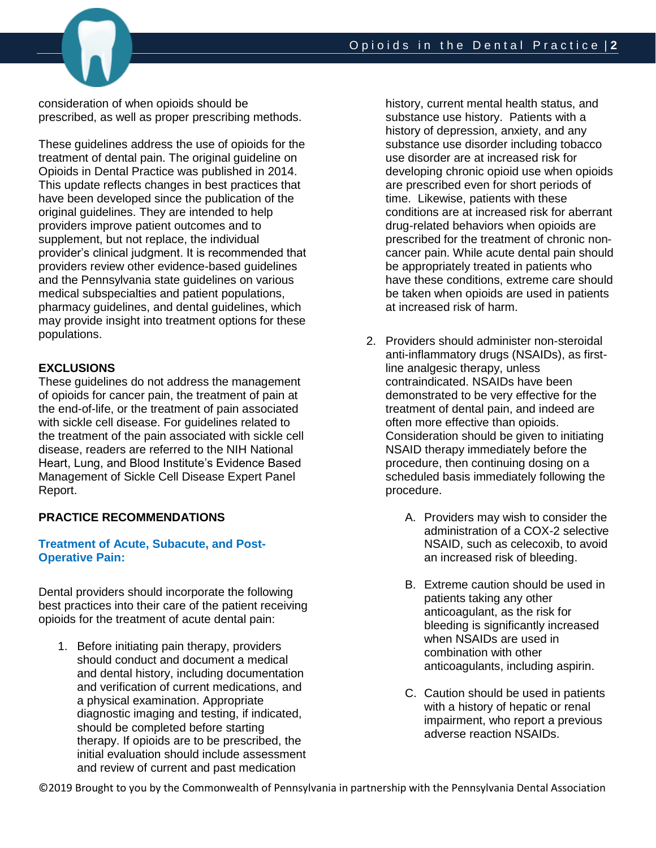

consideration of when opioids should be prescribed, as well as proper prescribing methods.

These guidelines address the use of opioids for the treatment of dental pain. The original guideline on Opioids in Dental Practice was published in 2014. This update reflects changes in best practices that have been developed since the publication of the original guidelines. They are intended to help providers improve patient outcomes and to supplement, but not replace, the individual provider's clinical judgment. It is recommended that providers review other evidence-based guidelines and the Pennsylvania state guidelines on various medical subspecialties and patient populations, pharmacy guidelines, and dental guidelines, which may provide insight into treatment options for these populations.

# **EXCLUSIONS**

These guidelines do not address the management of opioids for cancer pain, the treatment of pain at the end-of-life, or the treatment of pain associated with sickle cell disease. For guidelines related to the treatment of the pain associated with sickle cell disease, readers are referred to the NIH National Heart, Lung, and Blood Institute's Evidence Based Management of Sickle Cell Disease Expert Panel Report.

# **PRACTICE RECOMMENDATIONS**

### **Treatment of Acute, Subacute, and Post-Operative Pain:**

Dental providers should incorporate the following best practices into their care of the patient receiving opioids for the treatment of acute dental pain:

1. Before initiating pain therapy, providers should conduct and document a medical and dental history, including documentation and verification of current medications, and a physical examination. Appropriate diagnostic imaging and testing, if indicated, should be completed before starting therapy. If opioids are to be prescribed, the initial evaluation should include assessment and review of current and past medication

history, current mental health status, and substance use history. Patients with a history of depression, anxiety, and any substance use disorder including tobacco use disorder are at increased risk for developing chronic opioid use when opioids are prescribed even for short periods of time. Likewise, patients with these conditions are at increased risk for aberrant drug-related behaviors when opioids are prescribed for the treatment of chronic noncancer pain. While acute dental pain should be appropriately treated in patients who have these conditions, extreme care should be taken when opioids are used in patients at increased risk of harm.

- 2. Providers should administer non-steroidal anti-inflammatory drugs (NSAIDs), as firstline analgesic therapy, unless contraindicated. NSAIDs have been demonstrated to be very effective for the treatment of dental pain, and indeed are often more effective than opioids. Consideration should be given to initiating NSAID therapy immediately before the procedure, then continuing dosing on a scheduled basis immediately following the procedure.
	- A. Providers may wish to consider the administration of a COX-2 selective NSAID, such as celecoxib, to avoid an increased risk of bleeding.
	- B. Extreme caution should be used in patients taking any other anticoagulant, as the risk for bleeding is significantly increased when NSAIDs are used in combination with other anticoagulants, including aspirin.
	- C. Caution should be used in patients with a history of hepatic or renal impairment, who report a previous adverse reaction NSAIDs.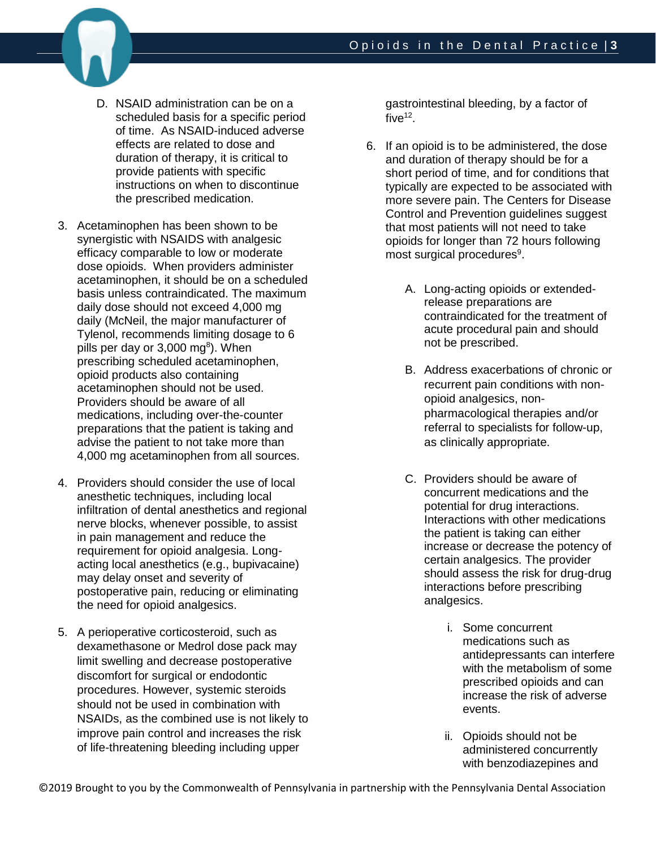

- D. NSAID administration can be on a scheduled basis for a specific period of time. As NSAID-induced adverse effects are related to dose and duration of therapy, it is critical to provide patients with specific instructions on when to discontinue the prescribed medication.
- 3. Acetaminophen has been shown to be synergistic with NSAIDS with analgesic efficacy comparable to low or moderate dose opioids. When providers administer acetaminophen, it should be on a scheduled basis unless contraindicated. The maximum daily dose should not exceed 4,000 mg daily (McNeil, the major manufacturer of Tylenol, recommends limiting dosage to 6 pills per day or 3,000 mg<sup>8</sup>). When prescribing scheduled acetaminophen, opioid products also containing acetaminophen should not be used. Providers should be aware of all medications, including over-the-counter preparations that the patient is taking and advise the patient to not take more than 4,000 mg acetaminophen from all sources.
- 4. Providers should consider the use of local anesthetic techniques, including local infiltration of dental anesthetics and regional nerve blocks, whenever possible, to assist in pain management and reduce the requirement for opioid analgesia. Longacting local anesthetics (e.g., bupivacaine) may delay onset and severity of postoperative pain, reducing or eliminating the need for opioid analgesics.
- 5. A perioperative corticosteroid, such as dexamethasone or Medrol dose pack may limit swelling and decrease postoperative discomfort for surgical or endodontic procedures. However, systemic steroids should not be used in combination with NSAIDs, as the combined use is not likely to improve pain control and increases the risk of life-threatening bleeding including upper

gastrointestinal bleeding, by a factor of five $12$ .

- 6. If an opioid is to be administered, the dose and duration of therapy should be for a short period of time, and for conditions that typically are expected to be associated with more severe pain. The Centers for Disease Control and Prevention guidelines suggest that most patients will not need to take opioids for longer than 72 hours following most surgical procedures<sup>9</sup>.
	- A. Long-acting opioids or extendedrelease preparations are contraindicated for the treatment of acute procedural pain and should not be prescribed.
	- B. Address exacerbations of chronic or recurrent pain conditions with nonopioid analgesics, nonpharmacological therapies and/or referral to specialists for follow-up, as clinically appropriate.
	- C. Providers should be aware of concurrent medications and the potential for drug interactions. Interactions with other medications the patient is taking can either increase or decrease the potency of certain analgesics. The provider should assess the risk for drug-drug interactions before prescribing analgesics.
		- i. Some concurrent medications such as antidepressants can interfere with the metabolism of some prescribed opioids and can increase the risk of adverse events.
		- ii. Opioids should not be administered concurrently with benzodiazepines and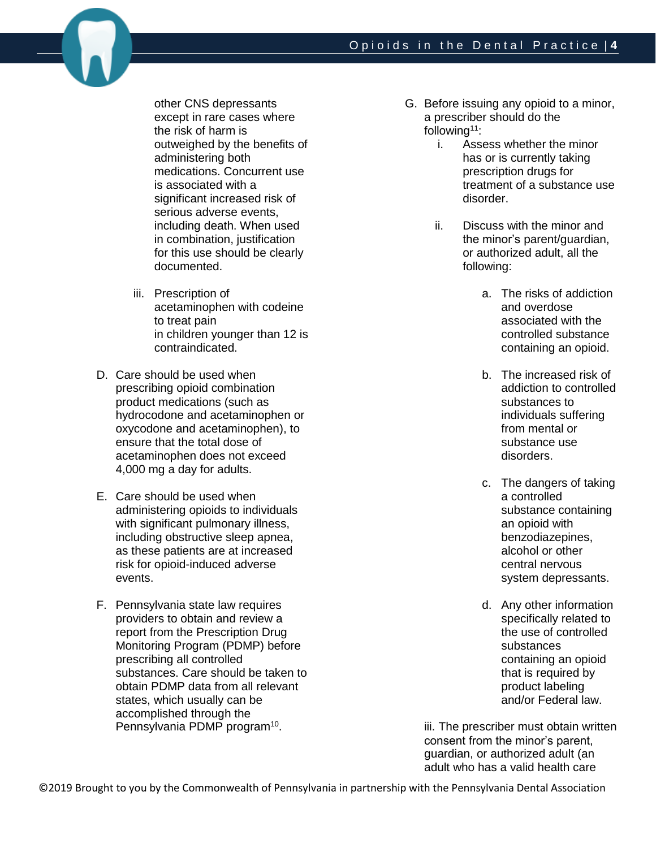

other CNS depressants except in rare cases where the risk of harm is outweighed by the benefits of administering both medications. Concurrent use is associated with a significant increased risk of serious adverse events, including death. When used in combination, justification for this use should be clearly documented.

- iii. Prescription of acetaminophen with codeine to treat pain in children younger than 12 is contraindicated.
- D. Care should be used when prescribing opioid combination product medications (such as hydrocodone and acetaminophen or oxycodone and acetaminophen), to ensure that the total dose of acetaminophen does not exceed 4,000 mg a day for adults.
- E. Care should be used when administering opioids to individuals with significant pulmonary illness, including obstructive sleep apnea, as these patients are at increased risk for opioid-induced adverse events.
- F. Pennsylvania state law requires providers to obtain and review a report from the Prescription Drug Monitoring Program (PDMP) before prescribing all controlled substances. Care should be taken to obtain PDMP data from all relevant states, which usually can be accomplished through the Pennsylvania PDMP program<sup>10</sup>.
- G. Before issuing any opioid to a minor, a prescriber should do the following<sup> $11$ </sup>:
	- i. Assess whether the minor has or is currently taking prescription drugs for treatment of a substance use disorder.
	- ii. Discuss with the minor and the minor's parent/guardian, or authorized adult, all the following:
		- a. The risks of addiction and overdose associated with the controlled substance containing an opioid.
		- b. The increased risk of addiction to controlled substances to individuals suffering from mental or substance use disorders.
		- c. The dangers of taking a controlled substance containing an opioid with benzodiazepines, alcohol or other central nervous system depressants.
		- d. Any other information specifically related to the use of controlled substances containing an opioid that is required by product labeling and/or Federal law.

iii. The prescriber must obtain written consent from the minor's parent, guardian, or authorized adult (an adult who has a valid health care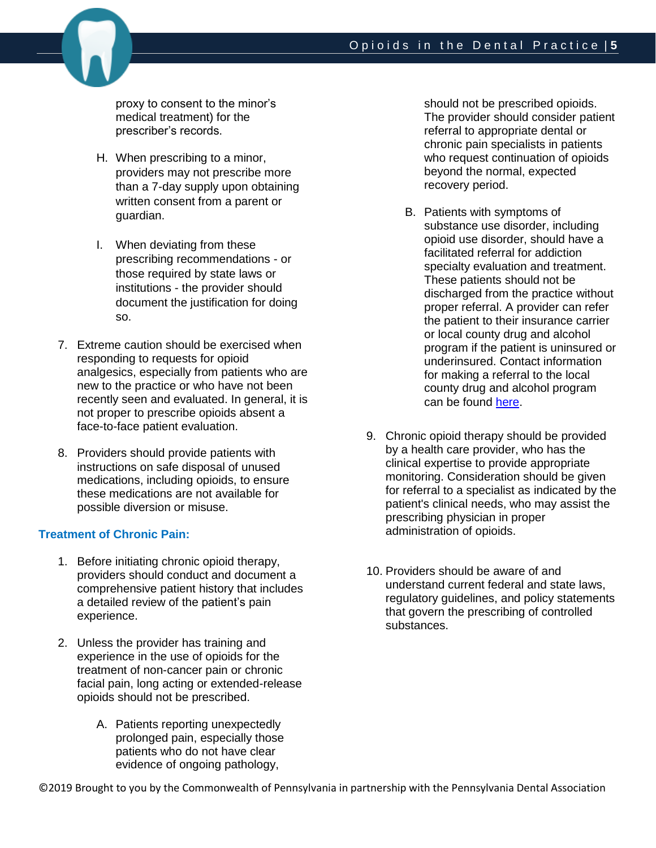

proxy to consent to the minor's medical treatment) for the prescriber's records.

- H. When prescribing to a minor, providers may not prescribe more than a 7-day supply upon obtaining written consent from a parent or guardian.
- I. When deviating from these prescribing recommendations - or those required by state laws or institutions - the provider should document the justification for doing so.
- 7. Extreme caution should be exercised when responding to requests for opioid analgesics, especially from patients who are new to the practice or who have not been recently seen and evaluated. In general, it is not proper to prescribe opioids absent a face-to-face patient evaluation.
- 8. Providers should provide patients with instructions on safe disposal of unused medications, including opioids, to ensure these medications are not available for possible diversion or misuse.

### **Treatment of Chronic Pain:**

- 1. Before initiating chronic opioid therapy, providers should conduct and document a comprehensive patient history that includes a detailed review of the patient's pain experience.
- 2. Unless the provider has training and experience in the use of opioids for the treatment of non-cancer pain or chronic facial pain, long acting or extended-release opioids should not be prescribed.
	- A. Patients reporting unexpectedly prolonged pain, especially those patients who do not have clear evidence of ongoing pathology,

should not be prescribed opioids. The provider should consider patient referral to appropriate dental or chronic pain specialists in patients who request continuation of opioids beyond the normal, expected recovery period.

- B. Patients with symptoms of substance use disorder, including opioid use disorder, should have a facilitated referral for addiction specialty evaluation and treatment. These patients should not be discharged from the practice without proper referral. A provider can refer the patient to their insurance carrier or local county drug and alcohol program if the patient is uninsured or underinsured. Contact information for making a referral to the local county drug and alcohol program can be found [here.](https://apps.ddap.pa.gov/gethelpnow/CountyServices.aspx)
- 9. Chronic opioid therapy should be provided by a health care provider, who has the clinical expertise to provide appropriate monitoring. Consideration should be given for referral to a specialist as indicated by the patient's clinical needs, who may assist the prescribing physician in proper administration of opioids.
- 10. Providers should be aware of and understand current federal and state laws, regulatory guidelines, and policy statements that govern the prescribing of controlled substances.